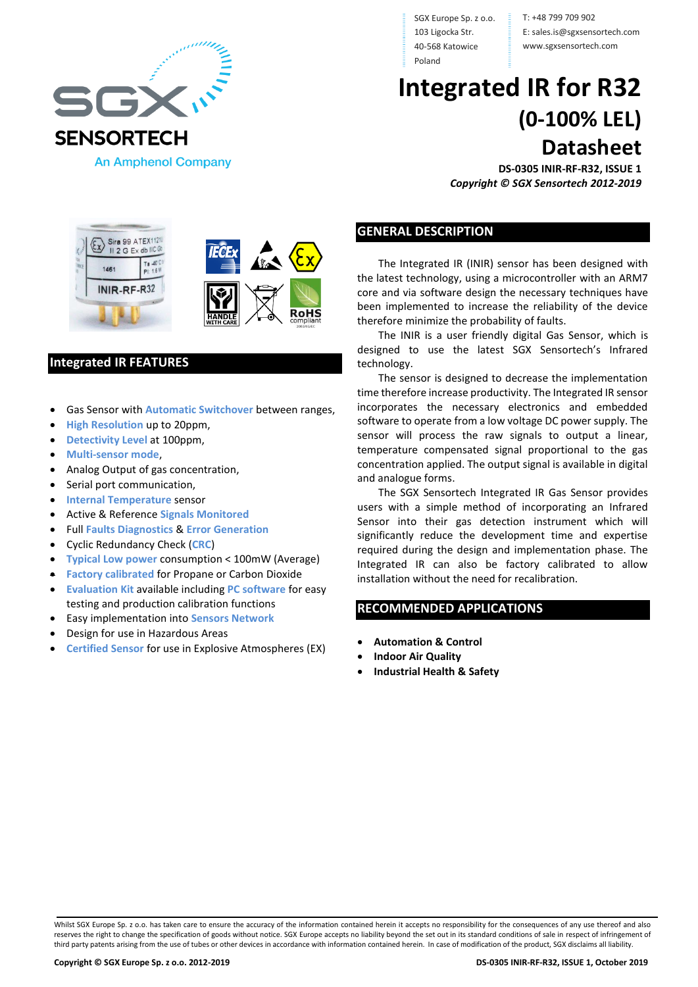

Sira 99 ATEX1121 II 2 G Ex db IIC Gb

SGX Europe Sp. z o.o. 103 Ligocka Str. 40-568 Katowice Poland

T: +48 799 709 902 E: sales.is@sgxsensortech.com www.sgxsensortech.com

# **Integrated IR for R32 (0-100% LEL) Datasheet**

**DS-0305 INIR-RF-R32, ISSUE 1** *Copyright © SGX Sensortech 2012-2019*

### **GENERAL DESCRIPTION**

The Integrated IR (INIR) sensor has been designed with the latest technology, using a microcontroller with an ARM7 core and via software design the necessary techniques have been implemented to increase the reliability of the device therefore minimize the probability of faults.

The INIR is a user friendly digital Gas Sensor, which is designed to use the latest SGX Sensortech's Infrared technology.

The sensor is designed to decrease the implementation time therefore increase productivity. The Integrated IR sensor incorporates the necessary electronics and embedded software to operate from a low voltage DC power supply. The sensor will process the raw signals to output a linear, temperature compensated signal proportional to the gas concentration applied. The output signal is available in digital and analogue forms.

The SGX Sensortech Integrated IR Gas Sensor provides users with a simple method of incorporating an Infrared Sensor into their gas detection instrument which will significantly reduce the development time and expertise required during the design and implementation phase. The Integrated IR can also be factory calibrated to allow installation without the need for recalibration.

### **RECOMMENDED APPLICATIONS**

- **Automation & Control**
- **Indoor Air Quality**
- **Industrial Health & Safety**

## Ta 40°C 1461 INIR-RF-R32

### **Integrated IR FEATURES**

- Gas Sensor with **Automatic Switchover** between ranges,
- **High Resolution** up to 20ppm,
- **Detectivity Level** at 100ppm,
- **Multi-sensor mode**,
- Analog Output of gas concentration,
- Serial port communication,
- **Internal Temperature** sensor
- Active & Reference **Signals Monitored**
- Full **Faults Diagnostics** & **Error Generation**
- Cyclic Redundancy Check (**CRC**)
- **Typical Low power** consumption < 100mW (Average)
- **Factory calibrated** for Propane or Carbon Dioxide
- **Evaluation Kit** available including **PC software** for easy testing and production calibration functions
- Easy implementation into **Sensors Network**
- Design for use in Hazardous Areas
- **Certified Sensor** for use in Explosive Atmospheres (EX)

Whilst SGX Europe Sp. z o.o. has taken care to ensure the accuracy of the information contained herein it accepts no responsibility for the consequences of any use thereof and also reserves the right to change the specification of goods without notice. SGX Europe accepts no liability beyond the set out in its standard conditions of sale in respect of infringement of third party patents arising from the use of tubes or other devices in accordance with information contained herein. In case of modification of the product, SGX disclaims all liability.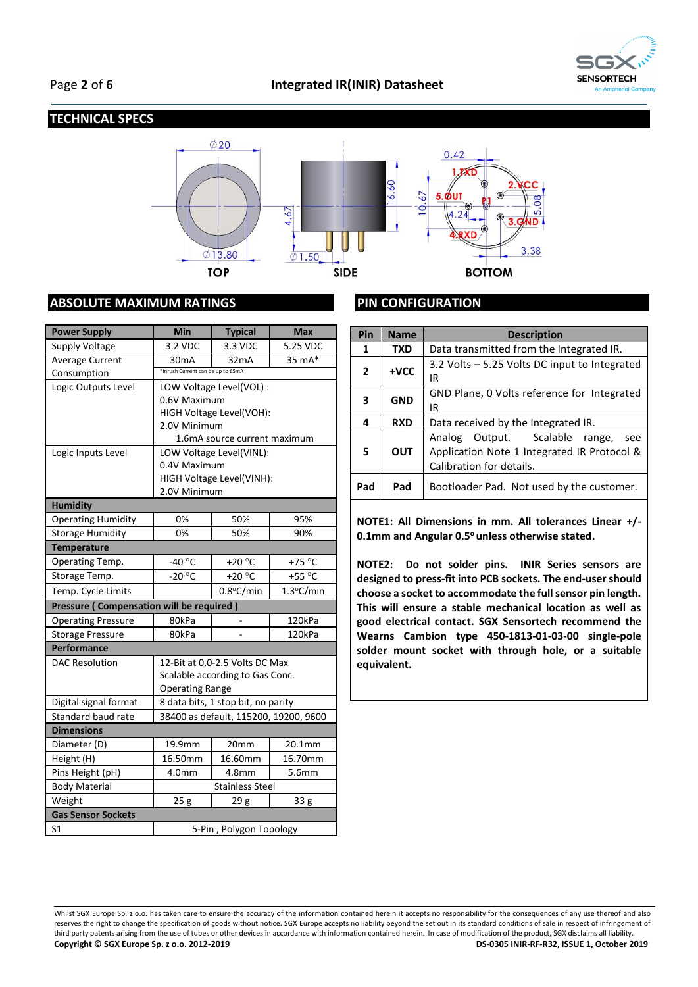

### **TECHNICAL SPECS**



### **ABSOLUTE MAXIMUM RATINGS**

| <b>Power Supply</b>                             | Min                                       | <b>Typical</b>                        | <b>Max</b>      |  |
|-------------------------------------------------|-------------------------------------------|---------------------------------------|-----------------|--|
| Supply Voltage                                  | 3.2 VDC                                   | 3.3 VDC                               | 5.25 VDC        |  |
| Average Current                                 | 30 <sub>m</sub> A                         | 32 <sub>m</sub> A                     | 35 mA*          |  |
| Consumption                                     | *Inrush Current can be up to 65mA         |                                       |                 |  |
| Logic Outputs Level                             | LOW Voltage Level(VOL) :                  |                                       |                 |  |
|                                                 | 0.6V Maximum                              |                                       |                 |  |
|                                                 |                                           | HIGH Voltage Level(VOH):              |                 |  |
|                                                 | 2.0V Minimum                              |                                       |                 |  |
|                                                 | 1.6mA source current maximum              |                                       |                 |  |
| Logic Inputs Level                              | LOW Voltage Level(VINL):                  |                                       |                 |  |
|                                                 | 0.4V Maximum                              |                                       |                 |  |
|                                                 | HIGH Voltage Level(VINH):<br>2.0V Minimum |                                       |                 |  |
| <b>Humidity</b>                                 |                                           |                                       |                 |  |
| <b>Operating Humidity</b>                       | 0%                                        | 50%                                   | 95%             |  |
| <b>Storage Humidity</b>                         | 0%                                        | 50%                                   | 90%             |  |
| <b>Temperature</b>                              |                                           |                                       |                 |  |
| Operating Temp.                                 | -40 $^{\circ}$ C                          | +20 $^{\circ}$ C                      | +75 $\degree$ C |  |
| Storage Temp.                                   | $-20^{\circ}$ C                           | $+20 °C$                              | +55 $\degree$ C |  |
| Temp. Cycle Limits                              |                                           | $0.8$ °C/min                          | 1.3°C/min       |  |
| <b>Pressure (Compensation will be required)</b> |                                           |                                       |                 |  |
| <b>Operating Pressure</b>                       | 80kPa                                     |                                       | 120kPa          |  |
| <b>Storage Pressure</b>                         | 80kPa                                     |                                       | 120kPa          |  |
| Performance                                     |                                           |                                       |                 |  |
| <b>DAC Resolution</b>                           | 12-Bit at 0.0-2.5 Volts DC Max            |                                       |                 |  |
|                                                 | Scalable according to Gas Conc.           |                                       |                 |  |
|                                                 | <b>Operating Range</b>                    |                                       |                 |  |
| Digital signal format                           | 8 data bits, 1 stop bit, no parity        |                                       |                 |  |
| Standard baud rate                              |                                           | 38400 as default, 115200, 19200, 9600 |                 |  |
| <b>Dimensions</b>                               |                                           |                                       |                 |  |
| Diameter (D)                                    | 19.9mm                                    | 20mm                                  | 20.1mm          |  |
| Height (H)                                      | 16.50mm                                   | 16.60mm                               | 16.70mm         |  |
| Pins Height (pH)                                | 4.0mm                                     | 4.8mm                                 | 5.6mm           |  |
| <b>Body Material</b>                            | <b>Stainless Steel</b>                    |                                       |                 |  |
| Weight                                          | 25g                                       | 29 g                                  | 33 g            |  |
| <b>Gas Sensor Sockets</b>                       |                                           |                                       |                 |  |
| S <sub>1</sub>                                  | 5-Pin, Polygon Topology                   |                                       |                 |  |

### **PIN CONFIGURATION**

| Pin          | <b>Name</b> | <b>Description</b>                                                                                               |  |  |
|--------------|-------------|------------------------------------------------------------------------------------------------------------------|--|--|
| 1            | <b>TXD</b>  | Data transmitted from the Integrated IR.                                                                         |  |  |
| $\mathbf{2}$ | $+VCC$      | 3.2 Volts - 5.25 Volts DC input to Integrated<br>IR                                                              |  |  |
| 3            | <b>GND</b>  | GND Plane, 0 Volts reference for Integrated<br>IR                                                                |  |  |
| 4            | <b>RXD</b>  | Data received by the Integrated IR.                                                                              |  |  |
| 5            | <b>OUT</b>  | Analog Output. Scalable range,<br>see<br>Application Note 1 Integrated IR Protocol &<br>Calibration for details. |  |  |
| Pad          | Pad         | Bootloader Pad. Not used by the customer.                                                                        |  |  |

**NOTE1: All Dimensions in mm. All tolerances Linear +/- 0.1mm and Angular 0.5<sup>o</sup>unless otherwise stated.**

**NOTE2: Do not solder pins. INIR Series sensors are designed to press-fit into PCB sockets. The end-user should choose a socket to accommodate the full sensor pin length. This will ensure a stable mechanical location as well as good electrical contact. SGX Sensortech recommend the Wearns Cambion type 450-1813-01-03-00 single-pole solder mount socket with through hole, or a suitable equivalent.** 

Whilst SGX Europe Sp. z o.o. has taken care to ensure the accuracy of the information contained herein it accepts no responsibility for the consequences of any use thereof and also reserves the right to change the specification of goods without notice. SGX Europe accepts no liability beyond the set out in its standard conditions of sale in respect of infringement of third party patents arising from the use of tubes or other devices in accordance with information contained herein. In case of modification of the product, SGX disclaims all liability.<br>
Copyright © SGX Europe Sp. z o.o. 20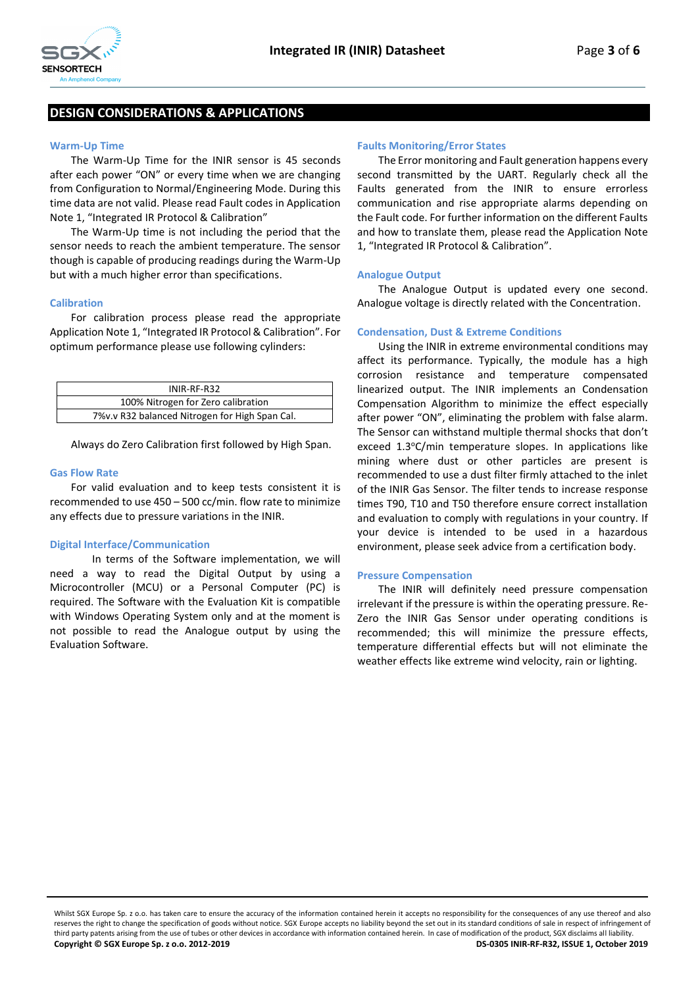

### **DESIGN CONSIDERATIONS & APPLICATIONS**

#### **Warm-Up Time**

The Warm-Up Time for the INIR sensor is 45 seconds after each power "ON" or every time when we are changing from Configuration to Normal/Engineering Mode. During this time data are not valid. Please read Fault codes in Application Note 1, "Integrated IR Protocol & Calibration"

The Warm-Up time is not including the period that the sensor needs to reach the ambient temperature. The sensor though is capable of producing readings during the Warm-Up but with a much higher error than specifications.

#### **Calibration**

For calibration process please read the appropriate Application Note 1, "Integrated IR Protocol & Calibration". For optimum performance please use following cylinders:

| INIR-RF-R32                                    |  |
|------------------------------------------------|--|
| 100% Nitrogen for Zero calibration             |  |
| 7%v.v R32 balanced Nitrogen for High Span Cal. |  |

Always do Zero Calibration first followed by High Span.

#### **Gas Flow Rate**

For valid evaluation and to keep tests consistent it is recommended to use 450 – 500 cc/min. flow rate to minimize any effects due to pressure variations in the INIR.

#### **Digital Interface/Communication**

In terms of the Software implementation, we will need a way to read the Digital Output by using a Microcontroller (MCU) or a Personal Computer (PC) is required. The Software with the Evaluation Kit is compatible with Windows Operating System only and at the moment is not possible to read the Analogue output by using the Evaluation Software.

#### **Faults Monitoring/Error States**

The Error monitoring and Fault generation happens every second transmitted by the UART. Regularly check all the Faults generated from the INIR to ensure errorless communication and rise appropriate alarms depending on the Fault code. For further information on the different Faults and how to translate them, please read the Application Note 1, "Integrated IR Protocol & Calibration".

#### **Analogue Output**

The Analogue Output is updated every one second. Analogue voltage is directly related with the Concentration.

#### **Condensation, Dust & Extreme Conditions**

Using the INIR in extreme environmental conditions may affect its performance. Typically, the module has a high corrosion resistance and temperature compensated linearized output. The INIR implements an Condensation Compensation Algorithm to minimize the effect especially after power "ON", eliminating the problem with false alarm. The Sensor can withstand multiple thermal shocks that don't exceed 1.3°C/min temperature slopes. In applications like mining where dust or other particles are present is recommended to use a dust filter firmly attached to the inlet of the INIR Gas Sensor. The filter tends to increase response times T90, T10 and T50 therefore ensure correct installation and evaluation to comply with regulations in your country. If your device is intended to be used in a hazardous environment, please seek advice from a certification body.

#### **Pressure Compensation**

The INIR will definitely need pressure compensation irrelevant if the pressure is within the operating pressure. Re-Zero the INIR Gas Sensor under operating conditions is recommended; this will minimize the pressure effects, temperature differential effects but will not eliminate the weather effects like extreme wind velocity, rain or lighting.

Whilst SGX Europe Sp. z o.o. has taken care to ensure the accuracy of the information contained herein it accepts no responsibility for the consequences of any use thereof and also reserves the right to change the specification of goods without notice. SGX Europe accepts no liability beyond the set out in its standard conditions of sale in respect of infringement of third party patents arising from the use of tubes or other devices in accordance with information contained herein. In case of modification of the product, SGX disclaims all liability. **Copyright © SGX Europe Sp. z o.o. 2012-2019 DS-0305 INIR-RF-R32, ISSUE 1, October 2019**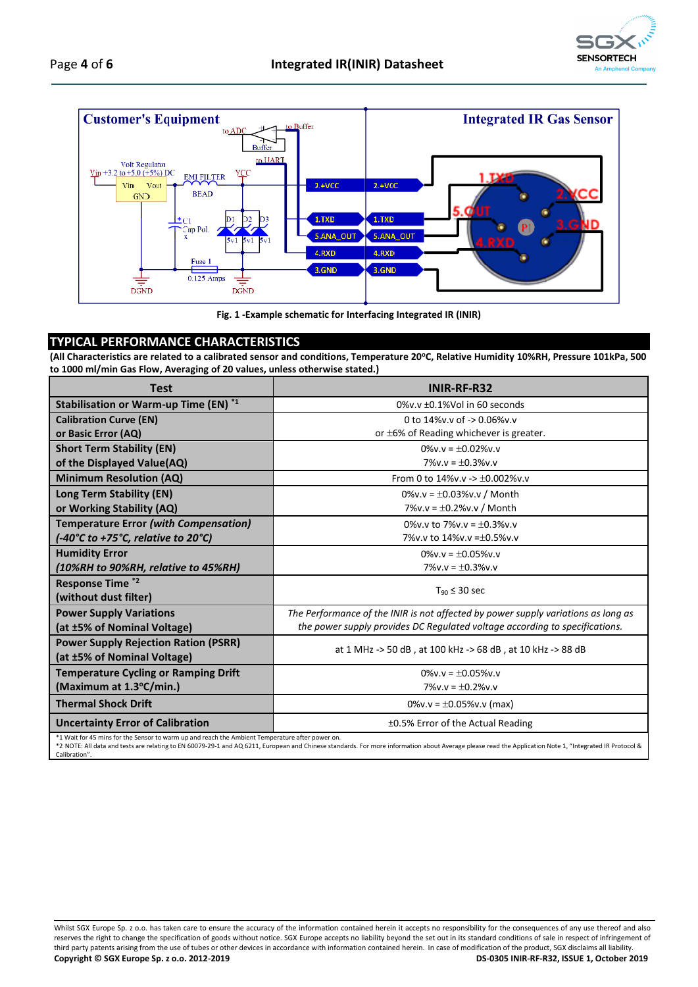



**Fig. 1 -Example schematic for Interfacing Integrated IR (INIR)**

### **TYPICAL PERFORMANCE CHARACTERISTICS**

**(All Characteristics are related to a calibrated sensor and conditions, Temperature 20<sup>o</sup>C, Relative Humidity 10%RH, Pressure 101kPa, 500 to 1000 ml/min Gas Flow, Averaging of 20 values, unless otherwise stated.)**

| <b>Test</b>                                                                                                                                                                                                                                                                                                                 | INIR-RF-R32                                                                       |  |
|-----------------------------------------------------------------------------------------------------------------------------------------------------------------------------------------------------------------------------------------------------------------------------------------------------------------------------|-----------------------------------------------------------------------------------|--|
| Stabilisation or Warm-up Time (EN) *1                                                                                                                                                                                                                                                                                       | $0\%$ v.v $\pm$ 0.1%Vol in 60 seconds                                             |  |
| <b>Calibration Curve (EN)</b>                                                                                                                                                                                                                                                                                               | 0 to $14\%$ v.v of -> 0.06%v.v                                                    |  |
| or Basic Error (AQ)                                                                                                                                                                                                                                                                                                         | or $\pm 6\%$ of Reading whichever is greater.                                     |  |
| <b>Short Term Stability (EN)</b>                                                                                                                                                                                                                                                                                            | $0\%$ v.v = $\pm 0.02\%$ v.v                                                      |  |
| of the Displayed Value(AQ)                                                                                                                                                                                                                                                                                                  | $7\%$ v.v = $\pm 0.3\%$ v.v                                                       |  |
| <b>Minimum Resolution (AQ)</b>                                                                                                                                                                                                                                                                                              | From 0 to $14\%$ v.v -> $\pm 0.002\%$ v.v                                         |  |
| Long Term Stability (EN)                                                                                                                                                                                                                                                                                                    | 0%v.v = $\pm$ 0.03%v.v / Month                                                    |  |
| or Working Stability (AQ)                                                                                                                                                                                                                                                                                                   | 7%v.v = $\pm$ 0.2%v.v / Month                                                     |  |
| <b>Temperature Error (with Compensation)</b>                                                                                                                                                                                                                                                                                | $0\%$ v v to 7%v v = $+0.3\%$ v v                                                 |  |
| (-40°C to +75°C, relative to 20°C)                                                                                                                                                                                                                                                                                          | 7% v.v to $14\%$ v.v = $\pm 0.5\%$ v.v                                            |  |
| <b>Humidity Error</b>                                                                                                                                                                                                                                                                                                       | $0\%$ v.v = $+0.05\%$ v.v                                                         |  |
| (10%RH to 90%RH, relative to 45%RH)                                                                                                                                                                                                                                                                                         | $7\%$ v.v = $\pm 0.3\%$ v.v                                                       |  |
| <b>Response Time *2</b>                                                                                                                                                                                                                                                                                                     | $T_{90} \leq 30$ sec                                                              |  |
| (without dust filter)                                                                                                                                                                                                                                                                                                       |                                                                                   |  |
| <b>Power Supply Variations</b>                                                                                                                                                                                                                                                                                              | The Performance of the INIR is not affected by power supply variations as long as |  |
| (at ±5% of Nominal Voltage)                                                                                                                                                                                                                                                                                                 | the power supply provides DC Regulated voltage according to specifications.       |  |
| <b>Power Supply Rejection Ration (PSRR)</b>                                                                                                                                                                                                                                                                                 | at 1 MHz -> 50 dB, at 100 kHz -> 68 dB, at 10 kHz -> 88 dB                        |  |
| (at ±5% of Nominal Voltage)                                                                                                                                                                                                                                                                                                 |                                                                                   |  |
| <b>Temperature Cycling or Ramping Drift</b>                                                                                                                                                                                                                                                                                 | $0\%$ v.v = $+0.05\%$ v.v                                                         |  |
| (Maximum at 1.3°C/min.)                                                                                                                                                                                                                                                                                                     | $7\%$ v.v = $\pm$ 0.2%v.v                                                         |  |
| <b>Thermal Shock Drift</b>                                                                                                                                                                                                                                                                                                  | 0%v.v = $\pm$ 0.05%v.v (max)                                                      |  |
| <b>Uncertainty Error of Calibration</b>                                                                                                                                                                                                                                                                                     | ±0.5% Error of the Actual Reading                                                 |  |
| *1 Wait for 45 mins for the Sensor to warm up and reach the Ambient Temperature after power on.<br>*2 NOTE: All data and tests are relating to EN 60079-29-1 and AQ 6211, European and Chinese standards. For more information about Average please read the Application Note 1, "Integrated IR Protocol &<br>Calibration". |                                                                                   |  |

Whilst SGX Europe Sp. z o.o. has taken care to ensure the accuracy of the information contained herein it accepts no responsibility for the consequences of any use thereof and also reserves the right to change the specification of goods without notice. SGX Europe accepts no liability beyond the set out in its standard conditions of sale in respect of infringement of third party patents arising from the use of tubes or other devices in accordance with information contained herein. In case of modification of the product, SGX disclaims all liability.<br>
Copyright © SGX Europe Sp. z o.o. 20 **Copyright © SGX Europe Sp. z o.o. 2012-2019 DS-0305 INIR-RF-R32, ISSUE 1, October 2019**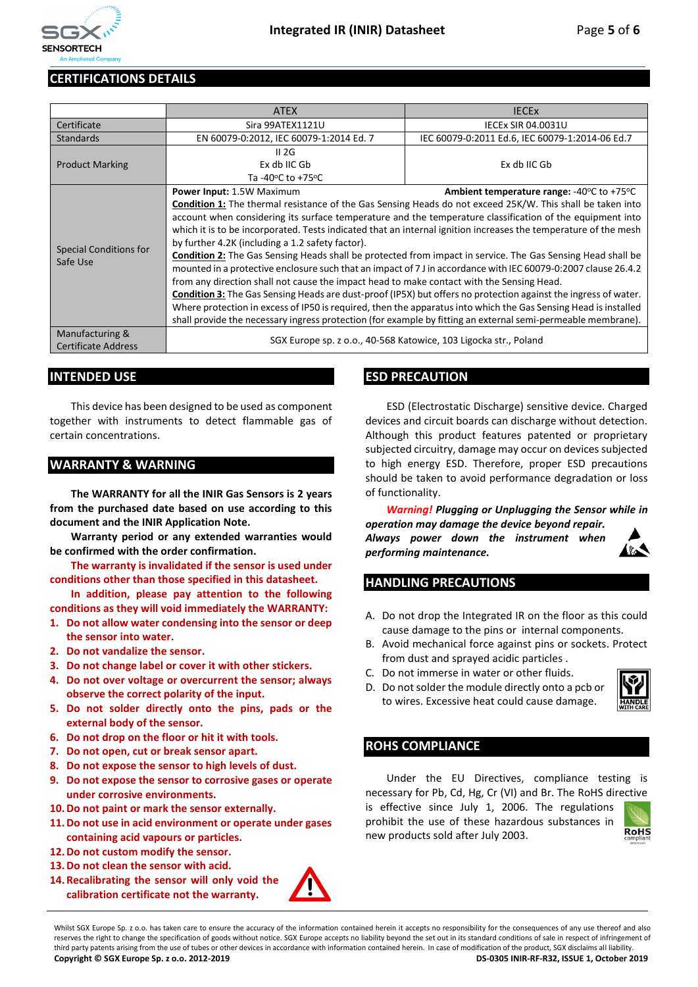

### **CERTIFICATIONS DETAILS**

|                                           | <b>ATEX</b>                                                                                                        | <b>IECEX</b>                                                |  |  |
|-------------------------------------------|--------------------------------------------------------------------------------------------------------------------|-------------------------------------------------------------|--|--|
| Certificate                               | Sira 99ATEX1121U                                                                                                   | <b>IECEX SIR 04.0031U</b>                                   |  |  |
| <b>Standards</b>                          | EN 60079-0:2012, IEC 60079-1:2014 Ed. 7                                                                            | IEC 60079-0:2011 Ed.6, IEC 60079-1:2014-06 Ed.7             |  |  |
| <b>Product Marking</b>                    | II 2G                                                                                                              |                                                             |  |  |
|                                           | Ex db IIC Gb                                                                                                       | Ex db IIC Gb                                                |  |  |
|                                           | Ta -40 $\degree$ C to +75 $\degree$ C                                                                              |                                                             |  |  |
|                                           | Power Input: 1.5W Maximum                                                                                          | Ambient temperature range: $-40\degree$ C to $+75\degree$ C |  |  |
| <b>Special Conditions for</b><br>Safe Use | Condition 1: The thermal resistance of the Gas Sensing Heads do not exceed 25K/W. This shall be taken into         |                                                             |  |  |
|                                           | account when considering its surface temperature and the temperature classification of the equipment into          |                                                             |  |  |
|                                           | which it is to be incorporated. Tests indicated that an internal ignition increases the temperature of the mesh    |                                                             |  |  |
|                                           | by further 4.2K (including a 1.2 safety factor).                                                                   |                                                             |  |  |
|                                           | <b>Condition 2:</b> The Gas Sensing Heads shall be protected from impact in service. The Gas Sensing Head shall be |                                                             |  |  |
|                                           | mounted in a protective enclosure such that an impact of 7 J in accordance with IEC 60079-0:2007 clause 26.4.2     |                                                             |  |  |
|                                           | from any direction shall not cause the impact head to make contact with the Sensing Head.                          |                                                             |  |  |
|                                           | Condition 3: The Gas Sensing Heads are dust-proof (IP5X) but offers no protection against the ingress of water.    |                                                             |  |  |
|                                           | Where protection in excess of IP50 is required, then the apparatus into which the Gas Sensing Head is installed    |                                                             |  |  |
|                                           | shall provide the necessary ingress protection (for example by fitting an external semi-permeable membrane).       |                                                             |  |  |
| Manufacturing &                           | SGX Europe sp. z o.o., 40-568 Katowice, 103 Ligocka str., Poland                                                   |                                                             |  |  |
| <b>Certificate Address</b>                |                                                                                                                    |                                                             |  |  |

### **INTENDED USE**

This device has been designed to be used as component together with instruments to detect flammable gas of certain concentrations.

### **WARRANTY & WARNING**

**The WARRANTY for all the INIR Gas Sensors is 2 years from the purchased date based on use according to this document and the INIR Application Note.**

**Warranty period or any extended warranties would be confirmed with the order confirmation.**

**The warranty is invalidated if the sensor is used under conditions other than those specified in this datasheet.**

**In addition, please pay attention to the following conditions as they will void immediately the WARRANTY:**

- **1. Do not allow water condensing into the sensor or deep the sensor into water.**
- **2. Do not vandalize the sensor.**
- **3. Do not change label or cover it with other stickers.**
- **4. Do not over voltage or overcurrent the sensor; always observe the correct polarity of the input.**
- **5. Do not solder directly onto the pins, pads or the external body of the sensor.**
- **6. Do not drop on the floor or hit it with tools.**
- **7. Do not open, cut or break sensor apart.**
- **8. Do not expose the sensor to high levels of dust.**
- **9. Do not expose the sensor to corrosive gases or operate under corrosive environments.**
- **10.Do not paint or mark the sensor externally.**
- **11.Do not use in acid environment or operate under gases containing acid vapours or particles.**
- **12.Do not custom modify the sensor.**
- **13.Do not clean the sensor with acid.**
- **14. Recalibrating the sensor will only void the calibration certificate not the warranty.**

### **ESD PRECAUTION**

ESD (Electrostatic Discharge) sensitive device. Charged devices and circuit boards can discharge without detection. Although this product features patented or proprietary subjected circuitry, damage may occur on devices subjected to high energy ESD. Therefore, proper ESD precautions should be taken to avoid performance degradation or loss of functionality.

*Warning! Plugging or Unplugging the Sensor while in operation may damage the device beyond repair.* 

*Always power down the instrument when performing maintenance.*



### **HANDLING PRECAUTIONS**

- A. Do not drop the Integrated IR on the floor as this could cause damage to the pins or internal components.
- B. Avoid mechanical force against pins or sockets. Protect from dust and sprayed acidic particles .
- C. Do not immerse in water or other fluids.
- D. Do not solder the module directly onto a pcb or to wires. Excessive heat could cause damage.



### **ROHS COMPLIANCE**

Under the EU Directives, compliance testing is necessary for Pb, Cd, Hg, Cr (VI) and Br. The RoHS directive

is effective since July 1, 2006. The regulations prohibit the use of these hazardous substances in new products sold after July 2003.



Whilst SGX Europe Sp. z o.o. has taken care to ensure the accuracy of the information contained herein it accepts no responsibility for the consequences of any use thereof and also reserves the right to change the specification of goods without notice. SGX Europe accepts no liability beyond the set out in its standard conditions of sale in respect of infringement of third party patents arising from the use of tubes or other devices in accordance with information contained herein. In case of modification of the product, SGX disclaims all liability. **Copyright © SGX Europe Sp. z o.o. 2012-2019 DS-0305 INIR-RF-R32, ISSUE 1, October 2019**